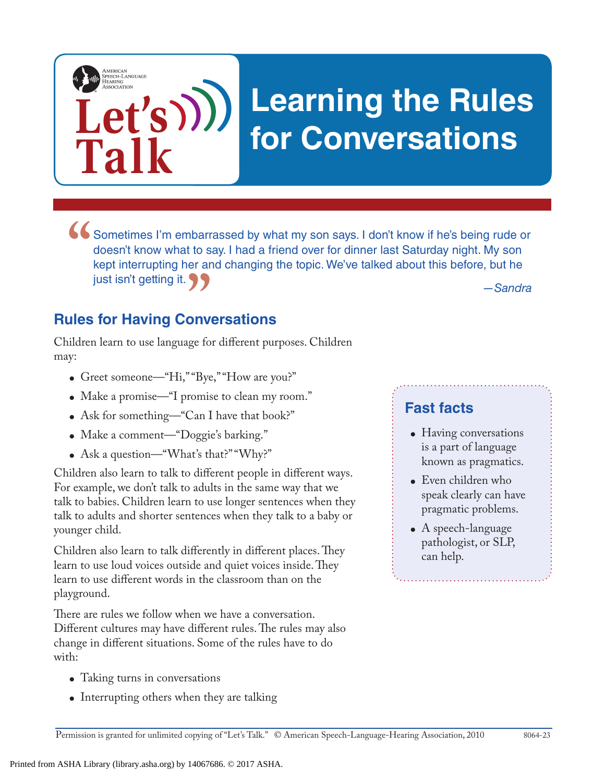# **Learning the Rules for Conversations**

Sometimes I'm embarrassed by what my son says. I don't know if he's being rude or doesn't know what to say. I had a friend over for dinner last Saturday night. My son kept interrupting her and changing the topic. We've tal doesn't know what to say. I had a friend over for dinner last Saturday night. My son kept interrupting her and changing the topic. We've talked about this before, but he just isn't getting it.

*—Sandra*

## **Rules for Having Conversations "**<br> **"**<br> **"**<br> **"**<br> **"**<br> **"**<br> **"**<br> **"**

Let's)))

**Talk**

AMERICAN<br>SPEECH-LANGUAGE-<br>HEARING

Children learn to use language for different purposes. Children may:

- Greet someone—"Hi," "Bye," "How are you?"
- Make a promise—"I promise to clean my room."
- Ask for something—"Can I have that book?"
- Make a comment—"Doggie's barking."
- Ask a question—"What's that?" "Why?"

Children also learn to talk to different people in different ways. For example, we don't talk to adults in the same way that we talk to babies. Children learn to use longer sentences when they talk to adults and shorter sentences when they talk to a baby or younger child.

Children also learn to talk differently in different places. They learn to use loud voices outside and quiet voices inside. They learn to use different words in the classroom than on the playground.

There are rules we follow when we have a conversation. Different cultures may have different rules. The rules may also change in different situations. Some of the rules have to do with:

- Taking turns in conversations
- Interrupting others when they are talking

### **Fast facts**

- Having conversations is a part of language known as pragmatics.
- $\bullet$  Even children who speak clearly can have pragmatic problems.
- $\bullet$  A speech-language pathologist, or SLP, can help.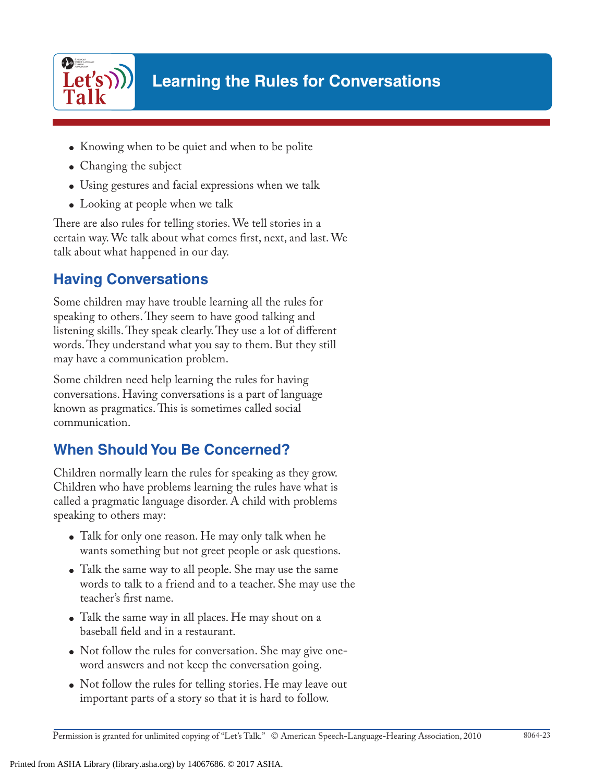

- Knowing when to be quiet and when to be polite
- Changing the subject
- Using gestures and facial expressions when we talk
- Looking at people when we talk

There are also rules for telling stories. We tell stories in a certain way. We talk about what comes first, next, and last. We talk about what happened in our day.

#### **Having Conversations**

Some children may have trouble learning all the rules for speaking to others. They seem to have good talking and listening skills. They speak clearly. They use a lot of different words. They understand what you say to them. But they still may have a communication problem.

Some children need help learning the rules for having conversations. Having conversations is a part of language known as pragmatics. This is sometimes called social communication.

### **When Should You Be Concerned?**

Children normally learn the rules for speaking as they grow. Children who have problems learning the rules have what is called a pragmatic language disorder. A child with problems speaking to others may:

- Talk for only one reason. He may only talk when he wants something but not greet people or ask questions.
- Talk the same way to all people. She may use the same words to talk to a friend and to a teacher. She may use the teacher's first name.
- Talk the same way in all places. He may shout on a baseball field and in a restaurant.
- Not follow the rules for conversation. She may give oneword answers and not keep the conversation going.
- Not follow the rules for telling stories. He may leave out important parts of a story so that it is hard to follow.